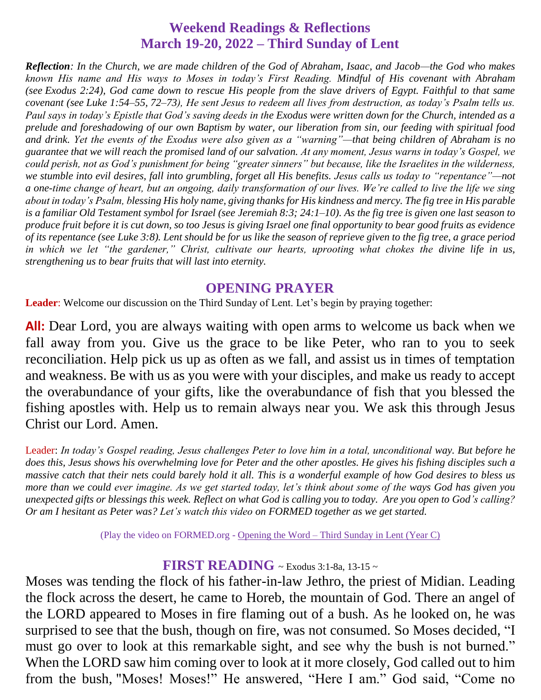# **Weekend Readings & Reflections March 19-20, 2022 – Third Sunday of Lent**

*Reflection: In the Church, we are made children of the God of Abraham, Isaac, and Jacob—the God who makes known His name and His ways to Moses in today's First Reading. Mindful of His covenant with Abraham (see [Exodus 2:24\)](https://biblia.com/bible/rsvce/Exod%202.24), God came down to rescue His people from the slave drivers of Egypt. Faithful to that same covenant (see [Luke 1:54–55,](https://biblia.com/bible/rsvce/Luke%201.54%E2%80%9355) [72–73\)](https://biblia.com/bible/rsvce/Luke%201.72%E2%80%9373), He sent Jesus to redeem all lives from destruction, as today's Psalm tells us. Paul says in today's Epistle that God's saving deeds in the Exodus were written down for the Church, intended as a prelude and foreshadowing of our own Baptism by water, our liberation from sin, our feeding with spiritual food and drink. Yet the events of the Exodus were also given as a "warning"—that being children of Abraham is no guarantee that we will reach the promised land of our salvation. At any moment, Jesus warns in today's Gospel, we could perish, not as God's punishment for being "greater sinners" but because, like the Israelites in the wilderness, we stumble into evil desires, fall into grumbling, forget all His benefits. Jesus calls us today to "repentance"—not a one-time change of heart, but an ongoing, daily transformation of our lives. We're called to live the life we sing about in today's Psalm, blessing His holy name, giving thanks for His kindness and mercy. The fig tree in His parable is a familiar Old Testament symbol for Israel (see [Jeremiah 8:3;](https://biblia.com/bible/rsvce/Jer%208.3) [24:1–10\)](https://biblia.com/bible/rsvce/Jeremiah%2024.1%E2%80%9310). As the fig tree is given one last season to produce fruit before it is cut down, so too Jesus is giving Israel one final opportunity to bear good fruits as evidence of its repentance (see [Luke 3:8\)](https://biblia.com/bible/rsvce/Luke%203.8). Lent should be for us like the season of reprieve given to the fig tree, a grace period in which we let "the gardener," Christ, cultivate our hearts, uprooting what chokes the divine life in us, strengthening us to bear fruits that will last into eternity.*

#### **OPENING PRAYER**

**Leader**: Welcome our discussion on the Third Sunday of Lent. Let's begin by praying together:

**All:** Dear Lord, you are always waiting with open arms to welcome us back when we fall away from you. Give us the grace to be like Peter, who ran to you to seek reconciliation. Help pick us up as often as we fall, and assist us in times of temptation and weakness. Be with us as you were with your disciples, and make us ready to accept the overabundance of your gifts, like the overabundance of fish that you blessed the fishing apostles with. Help us to remain always near you. We ask this through Jesus Christ our Lord. Amen.

Leader: *In today's Gospel reading, Jesus challenges Peter to love him in a total, unconditional way. But before he does this, Jesus shows his overwhelming love for Peter and the other apostles. He gives his fishing disciples such a massive catch that their nets could barely hold it all. This is a wonderful example of how God desires to bless us more than we could ever imagine. As we get started today, let's think about some of the ways God has given you unexpected gifts or blessings this week. Reflect on what God is calling you to today. Are you open to God's calling? Or am I hesitant as Peter was? Let's watch this video on FORMED together as we get started.*

(Play the video on FORMED.org - [Opening the Word –](https://watch.formed.org/opening-the-word-1/season:3/videos/3rd-sunday-of-lent-march-24-2019-1) Third Sunday in Lent (Year C)

#### **FIRST READING** ~ Exodus 3:1-8a, 13-15 <sup>~</sup>

Moses was tending the flock of his father-in-law Jethro, the priest of Midian. Leading the flock across the desert, he came to Horeb, the mountain of God. There an angel of the LORD appeared to Moses in fire flaming out of a bush. As he looked on, he was surprised to see that the bush, though on fire, was not consumed. So Moses decided, "I must go over to look at this remarkable sight, and see why the bush is not burned." When the LORD saw him coming over to look at it more closely, God called out to him from the bush, "Moses! Moses!" He answered, "Here I am." God said, "Come no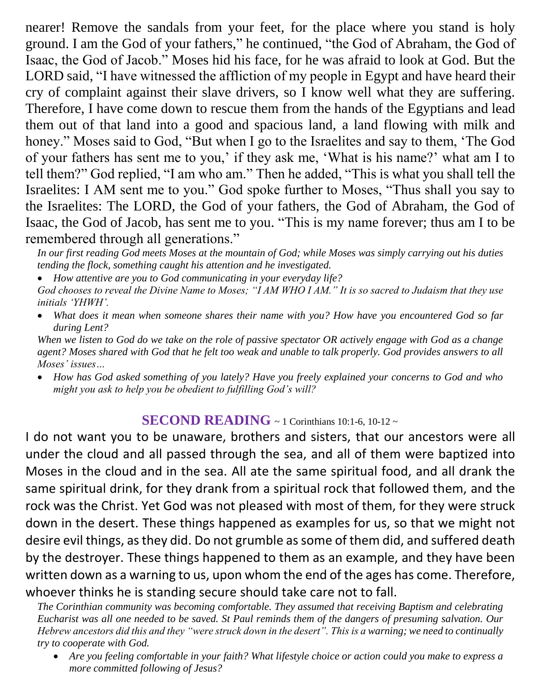nearer! Remove the sandals from your feet, for the place where you stand is holy ground. I am the God of your fathers," he continued, "the God of Abraham, the God of Isaac, the God of Jacob." Moses hid his face, for he was afraid to look at God. But the LORD said, "I have witnessed the affliction of my people in Egypt and have heard their cry of complaint against their slave drivers, so I know well what they are suffering. Therefore, I have come down to rescue them from the hands of the Egyptians and lead them out of that land into a good and spacious land, a land flowing with milk and honey." Moses said to God, "But when I go to the Israelites and say to them, 'The God of your fathers has sent me to you,' if they ask me, 'What is his name?' what am I to tell them?" God replied, "I am who am." Then he added, "This is what you shall tell the Israelites: I AM sent me to you." God spoke further to Moses, "Thus shall you say to the Israelites: The LORD, the God of your fathers, the God of Abraham, the God of Isaac, the God of Jacob, has sent me to you. "This is my name forever; thus am I to be remembered through all generations."

*In our first reading God meets Moses at the mountain of God; while Moses was simply carrying out his duties tending the flock, something caught his attention and he investigated.* 

- *How attentive are you to God communicating in your everyday life?*
- *God chooses to reveal the Divine Name to Moses; "I AM WHO I AM." It is so sacred to Judaism that they use initials 'YHWH'.*
- *What does it mean when someone shares their name with you? How have you encountered God so far during Lent?*

*When we listen to God do we take on the role of passive spectator OR actively engage with God as a change agent? Moses shared with God that he felt too weak and unable to talk properly. God provides answers to all Moses' issues…*

 *How has God asked something of you lately? Have you freely explained your concerns to God and who might you ask to help you be obedient to fulfilling God's will?*

## **SECOND READING** ~ 1 Corinthians 10:1-6, 10-12 ~

I do not want you to be unaware, brothers and sisters, that our ancestors were all under the cloud and all passed through the sea, and all of them were baptized into Moses in the cloud and in the sea. All ate the same spiritual food, and all drank the same spiritual drink, for they drank from a spiritual rock that followed them, and the rock was the Christ. Yet God was not pleased with most of them, for they were struck down in the desert. These things happened as examples for us, so that we might not desire evil things, as they did. Do not grumble as some of them did, and suffered death by the destroyer. These things happened to them as an example, and they have been written down as a warning to us, upon whom the end of the ages has come. Therefore, whoever thinks he is standing secure should take care not to fall.

*The Corinthian community was becoming comfortable. They assumed that receiving Baptism and celebrating Eucharist was all one needed to be saved. St Paul reminds them of the dangers of presuming salvation. Our Hebrew ancestors did this and they "were struck down in the desert". This is a warning; we need to continually try to cooperate with God.* 

 *Are you feeling comfortable in your faith? What lifestyle choice or action could you make to express a more committed following of Jesus?*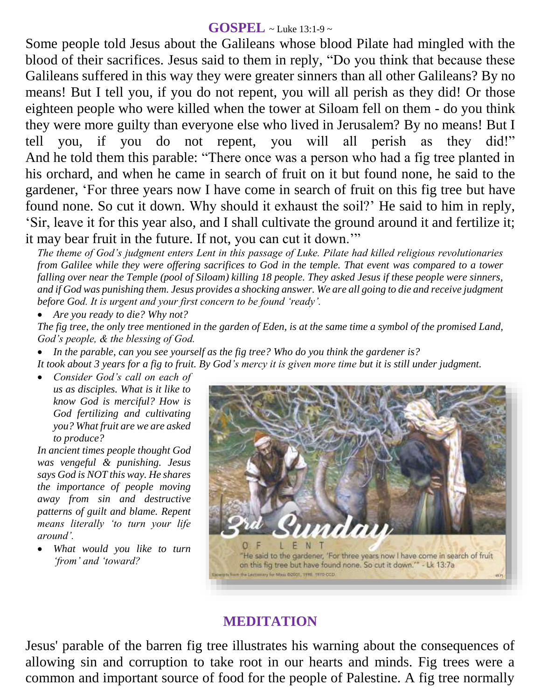### **GOSPEL** ~ Luke 13:1-9 ~

Some people told Jesus about the Galileans whose blood Pilate had mingled with the blood of their sacrifices. Jesus said to them in reply, "Do you think that because these Galileans suffered in this way they were greater sinners than all other Galileans? By no means! But I tell you, if you do not repent, you will all perish as they did! Or those eighteen people who were killed when the tower at Siloam fell on them - do you think they were more guilty than everyone else who lived in Jerusalem? By no means! But I tell you, if you do not repent, you will all perish as they did!" And he told them this parable: "There once was a person who had a fig tree planted in his orchard, and when he came in search of fruit on it but found none, he said to the gardener, 'For three years now I have come in search of fruit on this fig tree but have found none. So cut it down. Why should it exhaust the soil?' He said to him in reply, 'Sir, leave it for this year also, and I shall cultivate the ground around it and fertilize it; it may bear fruit in the future. If not, you can cut it down.'"

*The theme of God's judgment enters Lent in this passage of Luke. Pilate had killed religious revolutionaries from Galilee while they were offering sacrifices to God in the temple. That event was compared to a tower falling over near the Temple (pool of Siloam) killing 18 people. They asked Jesus if these people were sinners, and if God was punishing them. Jesus provides a shocking answer. We are all going to die and receive judgment before God. It is urgent and your first concern to be found 'ready'.* 

*Are you ready to die? Why not?*

*The fig tree, the only tree mentioned in the garden of Eden, is at the same time a symbol of the promised Land, God's people, & the blessing of God.* 

*In the parable, can you see yourself as the fig tree? Who do you think the gardener is?* 

*It took about 3 years for a fig to fruit. By God's mercy it is given more time but it is still under judgment.* 

 *Consider God's call on each of us as disciples. What is it like to know God is merciful? How is God fertilizing and cultivating you? What fruit are we are asked to produce?*

*In ancient times people thought God was vengeful & punishing. Jesus says God is NOT this way. He shares the importance of people moving away from sin and destructive patterns of guilt and blame. Repent means literally 'to turn your life around'.* 

 *What would you like to turn 'from' and 'toward?*



# **MEDITATION**

Jesus' parable of the barren fig tree illustrates his warning about the consequences of allowing sin and corruption to take root in our hearts and minds. Fig trees were a common and important source of food for the people of Palestine. A fig tree normally